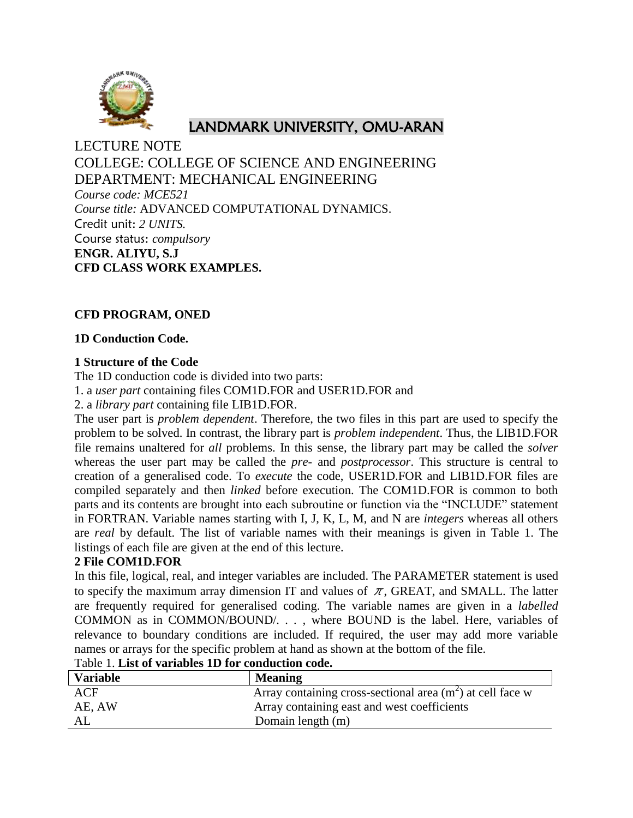

# LANDMARK UNIVERSITY, OMU-ARAN

LECTURE NOTE COLLEGE: COLLEGE OF SCIENCE AND ENGINEERING DEPARTMENT: MECHANICAL ENGINEERING *Course code: MCE521 Course title:* ADVANCED COMPUTATIONAL DYNAMICS. Credit unit: *2 UNITS.* Course status: *compulsory* **ENGR. ALIYU, S.J CFD CLASS WORK EXAMPLES.**

## **CFD PROGRAM, ONED**

## **1D Conduction Code.**

## **1 Structure of the Code**

The 1D conduction code is divided into two parts:

1. a *user part* containing files COM1D.FOR and USER1D.FOR and

2. a *library part* containing file LIB1D.FOR.

The user part is *problem dependent*. Therefore, the two files in this part are used to specify the problem to be solved. In contrast, the library part is *problem independent*. Thus, the LIB1D.FOR file remains unaltered for *all* problems. In this sense, the library part may be called the *solver*  whereas the user part may be called the *pre-* and *postprocessor*. This structure is central to creation of a generalised code. To *execute* the code, USER1D.FOR and LIB1D.FOR files are compiled separately and then *linked* before execution. The COM1D.FOR is common to both parts and its contents are brought into each subroutine or function via the "INCLUDE" statement in FORTRAN. Variable names starting with I, J, K, L, M, and N are *integers* whereas all others are *real* by default. The list of variable names with their meanings is given in Table 1. The listings of each file are given at the end of this lecture.

## **2 File COM1D.FOR**

In this file, logical, real, and integer variables are included. The PARAMETER statement is used to specify the maximum array dimension IT and values of  $\pi$ , GREAT, and SMALL. The latter are frequently required for generalised coding. The variable names are given in a *labelled*  COMMON as in COMMON/BOUND/*. . . ,* where BOUND is the label. Here, variables of relevance to boundary conditions are included. If required, the user may add more variable names or arrays for the specific problem at hand as shown at the bottom of the file.

| I WOIV IT ANNY VA THAINDIYD AAD AVA VOALWHUVAIDAA UU WUT |                                                             |
|----------------------------------------------------------|-------------------------------------------------------------|
| <b>Variable</b>                                          | <b>Meaning</b>                                              |
| ACF                                                      | Array containing cross-sectional area $(m2)$ at cell face w |
| AE, AW                                                   | Array containing east and west coefficients                 |
| AL                                                       | Domain length (m)                                           |

Table 1. **List of variables 1D for conduction code.**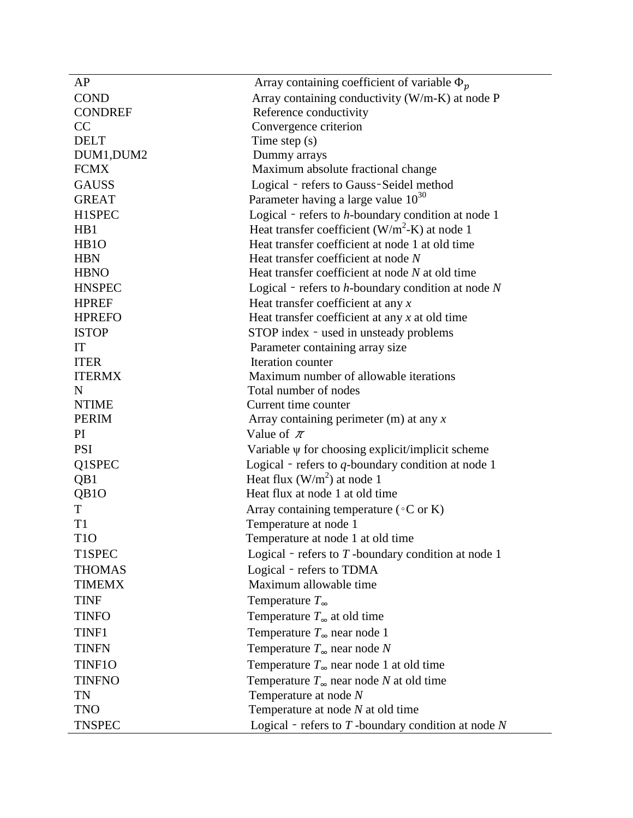| AP                | Array containing coefficient of variable $\Phi_p$       |
|-------------------|---------------------------------------------------------|
| <b>COND</b>       | Array containing conductivity (W/m-K) at node P         |
| <b>CONDREF</b>    | Reference conductivity                                  |
| CC                | Convergence criterion                                   |
| <b>DELT</b>       | Time step $(s)$                                         |
| DUM1, DUM2        | Dummy arrays                                            |
| <b>FCMX</b>       | Maximum absolute fractional change                      |
| <b>GAUSS</b>      | Logical - refers to Gauss-Seidel method                 |
| <b>GREAT</b>      | Parameter having a large value $10^{30}$                |
| H1SPEC            | Logical - refers to h-boundary condition at node 1      |
| H <sub>B1</sub>   | Heat transfer coefficient $(W/m^2-K)$ at node 1         |
| H <sub>B</sub> 1O | Heat transfer coefficient at node 1 at old time         |
| <b>HBN</b>        | Heat transfer coefficient at node N                     |
| <b>HBNO</b>       | Heat transfer coefficient at node N at old time         |
| <b>HNSPEC</b>     | Logical - refers to $h$ -boundary condition at node $N$ |
| <b>HPREF</b>      | Heat transfer coefficient at any $x$                    |
| <b>HPREFO</b>     | Heat transfer coefficient at any $x$ at old time        |
| <b>ISTOP</b>      | STOP index - used in unsteady problems                  |
| IT                | Parameter containing array size                         |
| <b>ITER</b>       | Iteration counter                                       |
| <b>ITERMX</b>     | Maximum number of allowable iterations                  |
| N                 | Total number of nodes                                   |
| <b>NTIME</b>      | Current time counter                                    |
| <b>PERIM</b>      | Array containing perimeter $(m)$ at any x               |
| PI                | Value of $\pi$                                          |
| <b>PSI</b>        | Variable $\psi$ for choosing explicit/implicit scheme   |
| Q1SPEC            | Logical - refers to q-boundary condition at node 1      |
| QB1               | Heat flux $(W/m^2)$ at node 1                           |
| QB <sub>1</sub> O | Heat flux at node 1 at old time                         |
| T                 | Array containing temperature ( $\circ$ C or K)          |
| T1                | Temperature at node 1                                   |
| T <sub>1</sub> O  | Temperature at node 1 at old time                       |
| T1SPEC            | Logical - refers to $T$ -boundary condition at node 1   |
| <b>THOMAS</b>     | Logical - refers to TDMA                                |
| <b>TIMEMX</b>     | Maximum allowable time                                  |
| <b>TINF</b>       | Temperature $T_{\infty}$                                |
| <b>TINFO</b>      | Temperature $T_{\infty}$ at old time                    |
| TINF1             | Temperature $T_{\infty}$ near node 1                    |
| <b>TINFN</b>      | Temperature $T_{\infty}$ near node N                    |
| TINF10            | Temperature $T_{\infty}$ near node 1 at old time        |
| <b>TINFNO</b>     | Temperature $T_{\infty}$ near node N at old time        |
| TN                | Temperature at node $N$                                 |
| <b>TNO</b>        | Temperature at node $N$ at old time                     |
| <b>TNSPEC</b>     | Logical - refers to $T$ -boundary condition at node $N$ |
|                   |                                                         |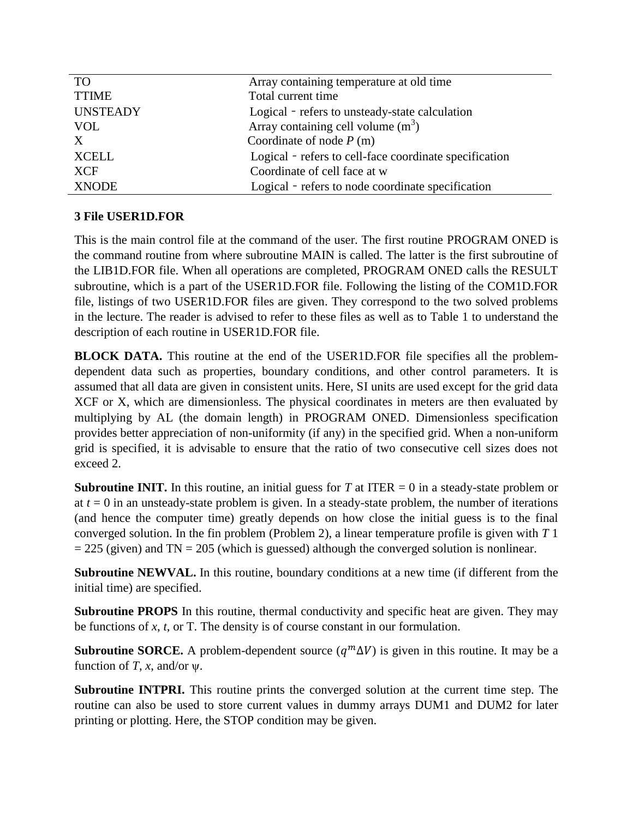| <b>TO</b>       | Array containing temperature at old time               |
|-----------------|--------------------------------------------------------|
| <b>TTIME</b>    | Total current time                                     |
| <b>UNSTEADY</b> | Logical - refers to unsteady-state calculation         |
| <b>VOL</b>      | Array containing cell volume $(m3)$                    |
| X               | Coordinate of node $P(m)$                              |
| <b>XCELL</b>    | Logical - refers to cell-face coordinate specification |
| <b>XCF</b>      | Coordinate of cell face at w                           |
| <b>XNODE</b>    | Logical - refers to node coordinate specification      |

## **3 File USER1D.FOR**

This is the main control file at the command of the user. The first routine PROGRAM ONED is the command routine from where subroutine MAIN is called. The latter is the first subroutine of the LIB1D.FOR file. When all operations are completed, PROGRAM ONED calls the RESULT subroutine, which is a part of the USER1D.FOR file. Following the listing of the COM1D.FOR file, listings of two USER1D.FOR files are given. They correspond to the two solved problems in the lecture. The reader is advised to refer to these files as well as to Table 1 to understand the description of each routine in USER1D.FOR file.

**BLOCK DATA.** This routine at the end of the USER1D.FOR file specifies all the problemdependent data such as properties, boundary conditions, and other control parameters. It is assumed that all data are given in consistent units. Here, SI units are used except for the grid data XCF or X, which are dimensionless. The physical coordinates in meters are then evaluated by multiplying by AL (the domain length) in PROGRAM ONED. Dimensionless specification provides better appreciation of non-uniformity (if any) in the specified grid. When a non-uniform grid is specified, it is advisable to ensure that the ratio of two consecutive cell sizes does not exceed 2.

**Subroutine INIT.** In this routine, an initial guess for *T* at ITER  $= 0$  in a steady-state problem or at  $t = 0$  in an unsteady-state problem is given. In a steady-state problem, the number of iterations (and hence the computer time) greatly depends on how close the initial guess is to the final converged solution. In the fin problem (Problem 2), a linear temperature profile is given with *T* 1  $= 225$  (given) and TN  $= 205$  (which is guessed) although the converged solution is nonlinear.

**Subroutine NEWVAL.** In this routine, boundary conditions at a new time (if different from the initial time) are specified.

**Subroutine PROPS** In this routine, thermal conductivity and specific heat are given. They may be functions of *x*, *t*, or T. The density is of course constant in our formulation.

**Subroutine SORCE.** A problem-dependent source  $(q^m \Delta V)$  is given in this routine. It may be a function of *T*, *x*, and/or  $\psi$ .

**Subroutine INTPRI.** This routine prints the converged solution at the current time step. The routine can also be used to store current values in dummy arrays DUM1 and DUM2 for later printing or plotting. Here, the STOP condition may be given.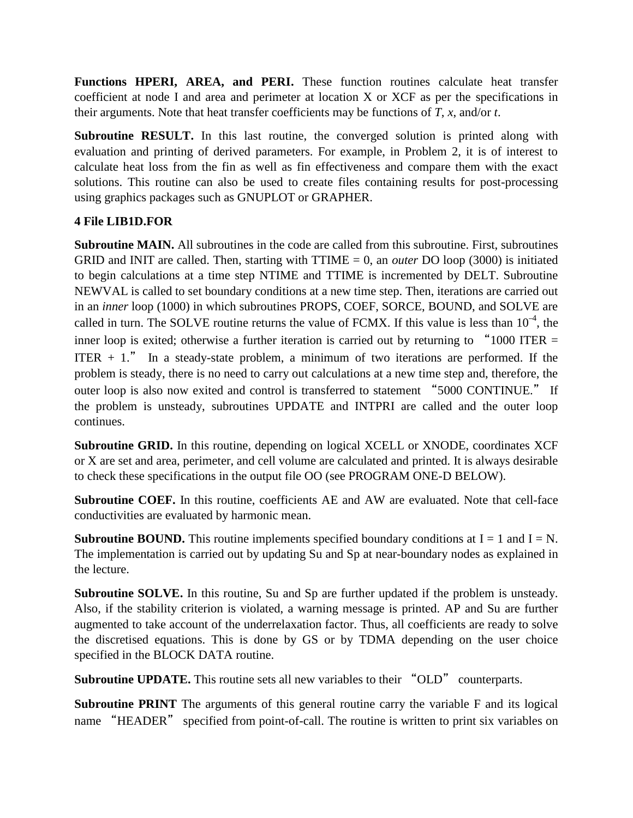Functions HPERI, AREA, and PERI. These function routines calculate heat transfer coefficient at node I and area and perimeter at location X or XCF as per the specifications in their arguments. Note that heat transfer coefficients may be functions of *T*, *x*, and/or *t*.

Subroutine RESULT. In this last routine, the converged solution is printed along with evaluation and printing of derived parameters. For example, in Problem 2, it is of interest to calculate heat loss from the fin as well as fin effectiveness and compare them with the exact solutions. This routine can also be used to create files containing results for post-processing using graphics packages such as GNUPLOT or GRAPHER.

## **4 File LIB1D.FOR**

**Subroutine MAIN.** All subroutines in the code are called from this subroutine. First, subroutines GRID and INIT are called. Then, starting with TTIME = 0, an *outer* DO loop (3000) is initiated to begin calculations at a time step NTIME and TTIME is incremented by DELT. Subroutine NEWVAL is called to set boundary conditions at a new time step. Then, iterations are carried out in an *inner* loop (1000) in which subroutines PROPS, COEF, SORCE, BOUND, and SOLVE are called in turn. The SOLVE routine returns the value of FCMX. If this value is less than  $10^{-4}$ , the inner loop is exited; otherwise a further iteration is carried out by returning to "1000 ITER  $=$ ITER  $+1$ ." In a steady-state problem, a minimum of two iterations are performed. If the problem is steady, there is no need to carry out calculations at a new time step and, therefore, the outer loop is also now exited and control is transferred to statement "5000 CONTINUE." If the problem is unsteady, subroutines UPDATE and INTPRI are called and the outer loop continues.

**Subroutine GRID.** In this routine, depending on logical XCELL or XNODE, coordinates XCF or X are set and area, perimeter, and cell volume are calculated and printed. It is always desirable to check these specifications in the output file OO (see PROGRAM ONE-D BELOW).

**Subroutine COEF.** In this routine, coefficients AE and AW are evaluated. Note that cell-face conductivities are evaluated by harmonic mean.

**Subroutine BOUND.** This routine implements specified boundary conditions at  $I = 1$  and  $I = N$ . The implementation is carried out by updating Su and Sp at near-boundary nodes as explained in the lecture.

**Subroutine SOLVE.** In this routine, Su and Sp are further updated if the problem is unsteady. Also, if the stability criterion is violated, a warning message is printed. AP and Su are further augmented to take account of the underrelaxation factor. Thus, all coefficients are ready to solve the discretised equations. This is done by GS or by TDMA depending on the user choice specified in the BLOCK DATA routine.

**Subroutine UPDATE.** This routine sets all new variables to their "OLD" counterparts.

**Subroutine PRINT** The arguments of this general routine carry the variable F and its logical name "HEADER" specified from point-of-call. The routine is written to print six variables on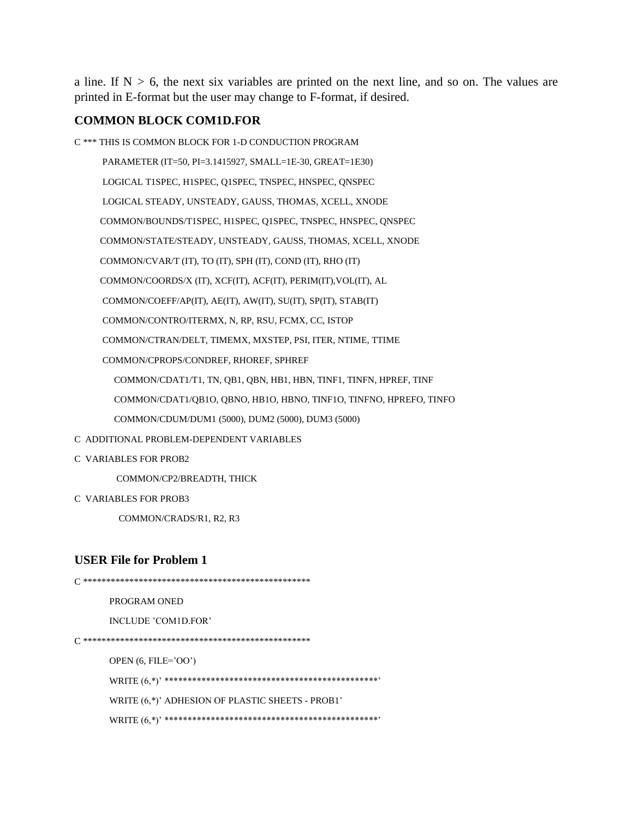a line. If  $N > 6$ , the next six variables are printed on the next line, and so on. The values are printed in E-format but the user may change to F-format, if desired.

## **COMMON BLOCK COM1D.FOR**

C \*\*\* THIS IS COMMON BLOCK FOR 1-D CONDUCTION PROGRAM PARAMETER (IT=50, PI=3.1415927, SMALL=1E-30, GREAT=1E30) LOGICAL T1SPEC, H1SPEC, Q1SPEC, TNSPEC, HNSPEC, QNSPEC LOGICAL STEADY, UNSTEADY, GAUSS, THOMAS, XCELL, XNODE COMMON/BOUNDS/T1SPEC, H1SPEC, Q1SPEC, TNSPEC, HNSPEC, QNSPEC COMMON/STATE/STEADY, UNSTEADY, GAUSS, THOMAS, XCELL, XNODE COMMON/CVAR/T (IT), TO (IT), SPH (IT), COND (IT), RHO (IT) COMMON/COORDS/X (IT), XCF(IT), ACF(IT), PERIM(IT),VOL(IT), AL COMMON/COEFF/AP(IT), AE(IT), AW(IT), SU(IT), SP(IT), STAB(IT) COMMON/CONTRO/ITERMX, N, RP, RSU, FCMX, CC, ISTOP COMMON/CTRAN/DELT, TIMEMX, MXSTEP, PSI, ITER, NTIME, TTIME COMMON/CPROPS/CONDREF, RHOREF, SPHREF COMMON/CDAT1/T1, TN, QB1, QBN, HB1, HBN, TINF1, TINFN, HPREF, TINF COMMON/CDAT1/QB1O, QBNO, HB1O, HBNO, TINF1O, TINFNO, HPREFO, TINFO COMMON/CDUM/DUM1 (5000), DUM2 (5000), DUM3 (5000)

- C ADDITIONAL PROBLEM-DEPENDENT VARIABLES
- C VARIABLES FOR PROB2

COMMON/CP2/BREADTH, THICK

C VARIABLES FOR PROB3

COMMON/CRADS/R1, R2, R3

## **USER File for Problem 1**

C \*\*\*\*\*\*\*\*\*\*\*\*\*\*\*\*\*\*\*\*\*\*\*\*\*\*\*\*\*\*\*\*\*\*\*\*\*\*\*\*\*\*\*\*\*\*\*\*\* PROGRAM ONED INCLUDE 'COM1D.FOR' C \*\*\*\*\*\*\*\*\*\*\*\*\*\*\*\*\*\*\*\*\*\*\*\*\*\*\*\*\*\*\*\*\*\*\*\*\*\*\*\*\*\*\*\*\*\*\*\*\* OPEN (6, FILE='OO') WRITE (6,\*)' \*\*\*\*\*\*\*\*\*\*\*\*\*\*\*\*\*\*\*\*\*\*\*\*\*\*\*\*\*\*\*\*\*\*\*\*\*\*\*\*\*\*\*\*\*\*' WRITE (6,\*)' ADHESION OF PLASTIC SHEETS - PROB1' WRITE (6,\*)' \*\*\*\*\*\*\*\*\*\*\*\*\*\*\*\*\*\*\*\*\*\*\*\*\*\*\*\*\*\*\*\*\*\*\*\*\*\*\*\*\*\*\*\*\*\*'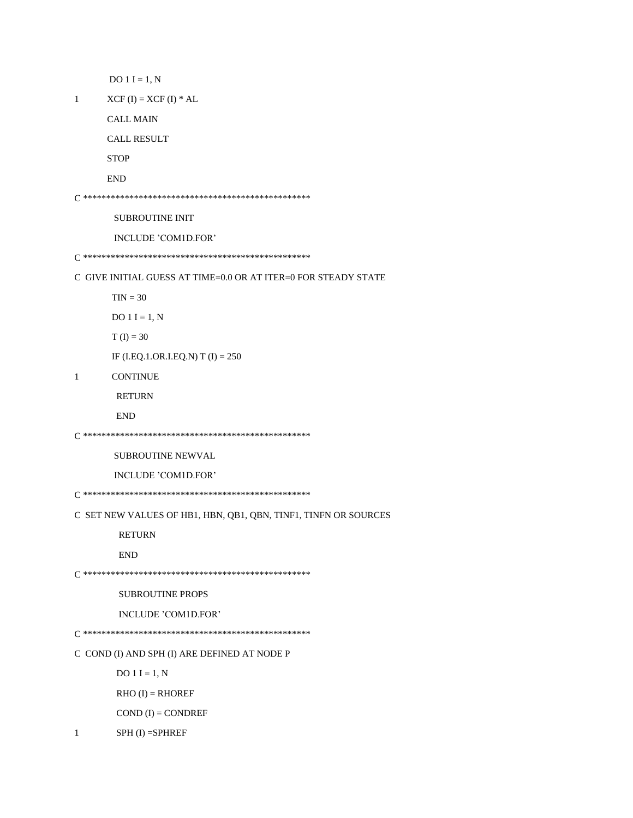```
DO 1 I = 1, N
```

```
\mathbf{1}XCF (I) = XCF (I) * AL
```
**CALL MAIN** 

**CALL RESULT** 

 ${\bf STOP}$ 

**END** 

SUBROUTINE INIT

INCLUDE 'COM1D.FOR'

C GIVE INITIAL GUESS AT TIME=0.0 OR AT ITER=0 FOR STEADY STATE

 $TIN = 30$ 

DO 1 I = 1,  $N$ 

 $T(I) = 30$ 

IF (I.EQ.1.OR.I.EQ.N) T (I) =  $250$ 

 $1\,$ **CONTINUE** 

**RETURN** 

```
\ensuremath{\mathrm{END}}
```
SUBROUTINE NEWVAL

INCLUDE 'COM1D.FOR'

C SET NEW VALUES OF HB1, HBN, QB1, QBN, TINF1, TINFN OR SOURCES

**RETURN** 

```
\ensuremath{\mathrm{END}}
```
**SUBROUTINE PROPS** 

INCLUDE 'COM1D.FOR'

C COND (I) AND SPH (I) ARE DEFINED AT NODE P

 $DO 1 I = 1, N$ 

 $RHO (I) = RHOREF$ 

 $COND (I) = CONDREF$ 

 $SPH (I) = SPHREF$  $\mathbf{1}$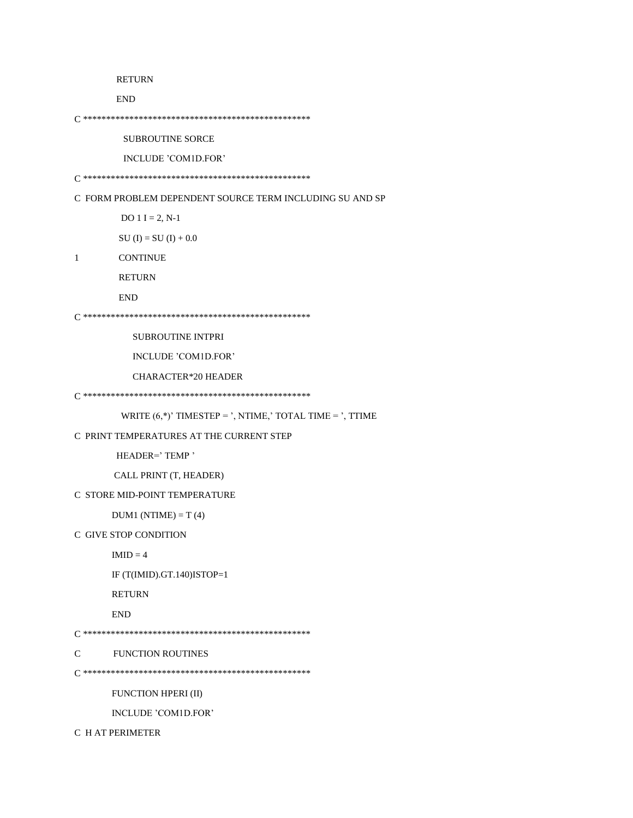### **RETURN**

**END** 

**SUBROUTINE SORCE** 

INCLUDE 'COM1D.FOR'

C FORM PROBLEM DEPENDENT SOURCE TERM INCLUDING SU AND SP

DO  $1 I = 2, N-1$ 

 $SU (I) = SU (I) + 0.0$ 

 $\mathbf{1}$ **CONTINUE** 

**RETURN** 

```
END
```
SUBROUTINE INTPRI

INCLUDE 'COM1D.FOR'

**CHARACTER\*20 HEADER** 

WRITE  $(6,*)'$  TIMESTEP = ', NTIME,' TOTAL TIME = ', TTIME

```
C PRINT TEMPERATURES AT THE CURRENT STEP
```
HEADER=' TEMP'

CALL PRINT (T, HEADER)

#### C STORE MID-POINT TEMPERATURE

 $DUM1 (NTIME) = T(4)$ 

C GIVE STOP CONDITION

```
IMID = 4
```
IF  $(T(IMID).GT.140)ISTOP=1$ 

**RETURN** 

 $\ensuremath{\mathrm{END}}$ 

```
{\bf C}FUNCTION ROUTINES
```
FUNCTION HPERI (II)

INCLUDE 'COM1D.FOR'

C H AT PERIMETER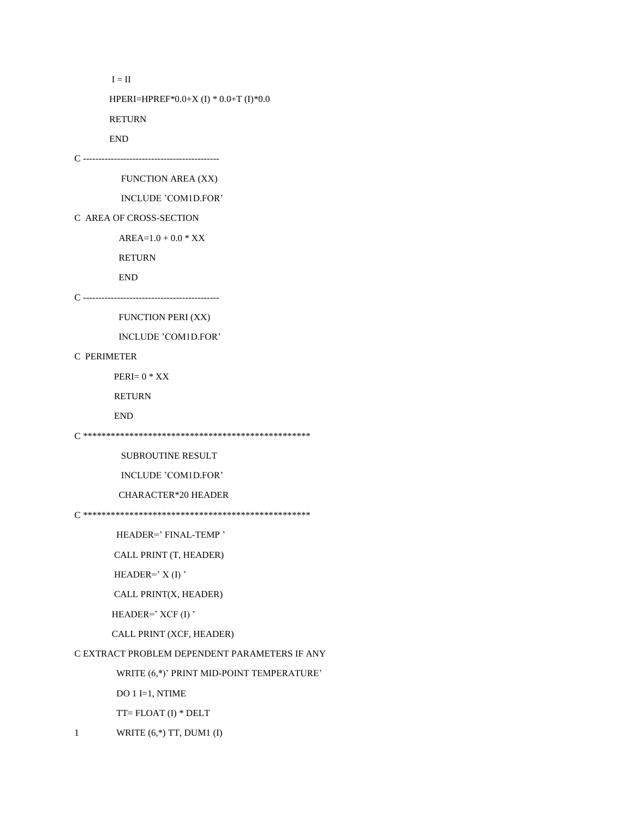```
\mathbf{I}=\mathbf{II}
```
HPERI=HPREF\*0.0+X (I) \* 0.0+T (I)\*0.0

RETURN

**END** 

FUNCTION AREA (XX)

INCLUDE 'COM1D.FOR'

C AREA OF CROSS-SECTION

 $AREA=1.0 + 0.0 * XX$ 

**RETURN** 

 ${\rm END}$ 

**FUNCTION PERI (XX)** 

INCLUDE 'COM1D.FOR'

C PERIMETER

 $PERI = 0$  \*  $XX$ 

**RETURN** 

 $\ensuremath{\mathrm{END}}$ 

**SUBROUTINE RESULT** 

INCLUDE 'COM1D.FOR'

**CHARACTER\*20 HEADER** 

HEADER=' FINAL-TEMP'

CALL PRINT (T, HEADER)

HEADER= $'X(I)'$ 

CALL PRINT(X, HEADER)

HEADER= $'$  XCF(I)'

CALL PRINT (XCF, HEADER)

C EXTRACT PROBLEM DEPENDENT PARAMETERS IF ANY

WRITE (6,\*)' PRINT MID-POINT TEMPERATURE'

DO 1 I=1, NTIME

 $TT = FLOAT (I) * DELT$ 

WRITE  $(6,*)$  TT, DUM1 (I)  $\mathbf{1}$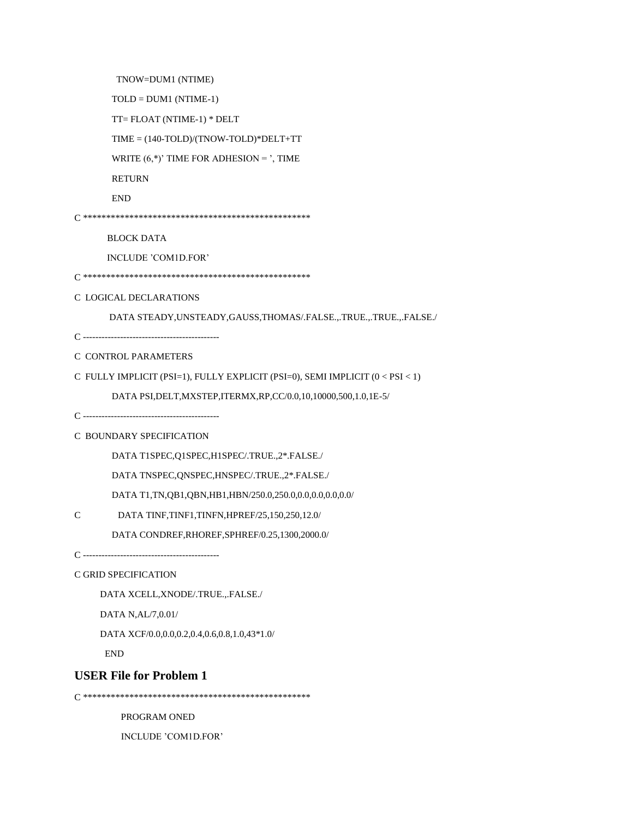TNOW=DUM1 (NTIME)

 $TOLD = DUM1 (NTIME-1)$ 

TT=FLOAT (NTIME-1) \* DELT

 $TIME = (140-TOLD)/(TNOWLEDW-TOLD)*DELT+TT$ 

WRITE  $(6,*)'$  TIME FOR ADHESION = ', TIME

**RETURN** 

 $\ensuremath{\mathrm{END}}$ 

**BLOCK DATA** 

INCLUDE 'COM1D.FOR'

C LOGICAL DECLARATIONS

DATA STEADY, UNSTEADY, GAUSS, THOMAS/.FALSE., .TRUE., .TRUE., .FALSE./

#### C CONTROL PARAMETERS

C FULLY IMPLICIT (PSI=1), FULLY EXPLICIT (PSI=0), SEMI IMPLICIT (0 < PSI < 1)

DATA PSI, DELT, MXSTEP, ITERMX, RP, CC/0.0, 10, 10000, 500, 1.0, 1E-5/

### C BOUNDARY SPECIFICATION

DATA T1SPEC, Q1SPEC, H1SPEC/.TRUE., 2\*. FALSE./

DATA TNSPEC, QNSPEC, HNSPEC/.TRUE., 2\*. FALSE./

DATA T1, TN, QB1, QBN, HB1, HBN/250.0, 250.0, 0.0, 0.0, 0.0, 0.0/

 $\mathcal{C}$ DATA TINF, TINF1, TINFN, HPREF/25, 150, 250, 12.0/

DATA CONDREF, RHOREF, SPHREF/0.25, 1300, 2000.0/

C GRID SPECIFICATION

DATA XCELL, XNODE/.TRUE...FALSE./

DATA N, AL/7, 0.01/

DATA XCF/0.0,0.0,0.2,0.4,0.6,0.8,1.0,43\*1.0/

 $\ensuremath{\mathrm{END}}$ 

## **USER File for Problem 1**

PROGRAM ONED

INCLUDE 'COM1D.FOR'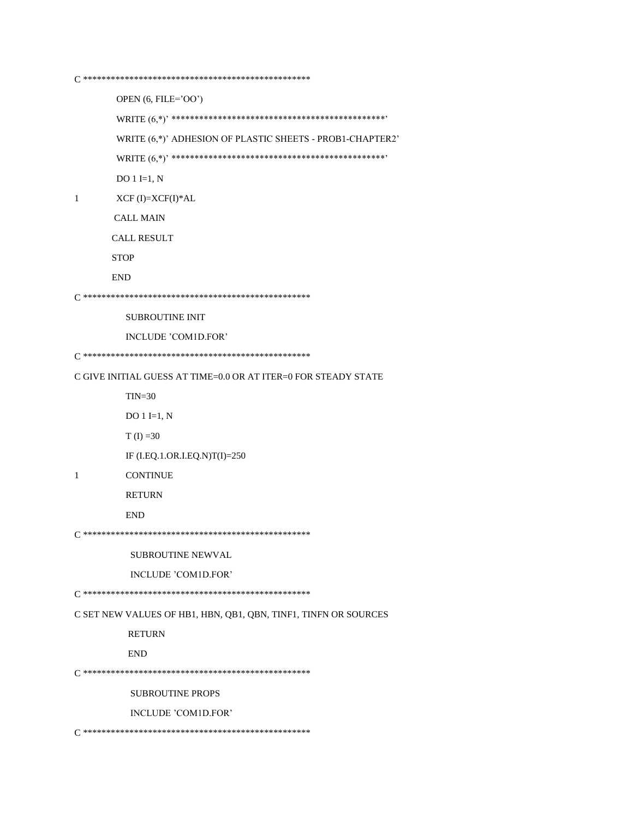OPEN (6, FILE='OO')

WRITE (6,\*)' ADHESION OF PLASTIC SHEETS - PROB1-CHAPTER2'  $DO 1 I=1, N$ 

 $\mathbf{1}$  $XCF$ (I)= $XCF(I)*AL$ 

**CALL MAIN** 

CALL RESULT

**STOP** 

**END** 

SUBROUTINE INIT

INCLUDE 'COM1D.FOR'

C GIVE INITIAL GUESS AT TIME=0.0 OR AT ITER=0 FOR STEADY STATE

 $TIN=30$ 

DO  $1 I=1, N$ 

 $T (I) = 30$ 

IF (I.EQ.1.OR.I.EQ.N)T(I)=250

 $\mathbf{1}$ **CONTINUE** 

**RETURN** 

**END** 

SUBROUTINE NEWVAL

INCLUDE 'COM1D.FOR'

C SET NEW VALUES OF HB1, HBN, QB1, QBN, TINF1, TINFN OR SOURCES

**RETURN** 

**END** 

**SUBROUTINE PROPS** 

INCLUDE 'COM1D.FOR'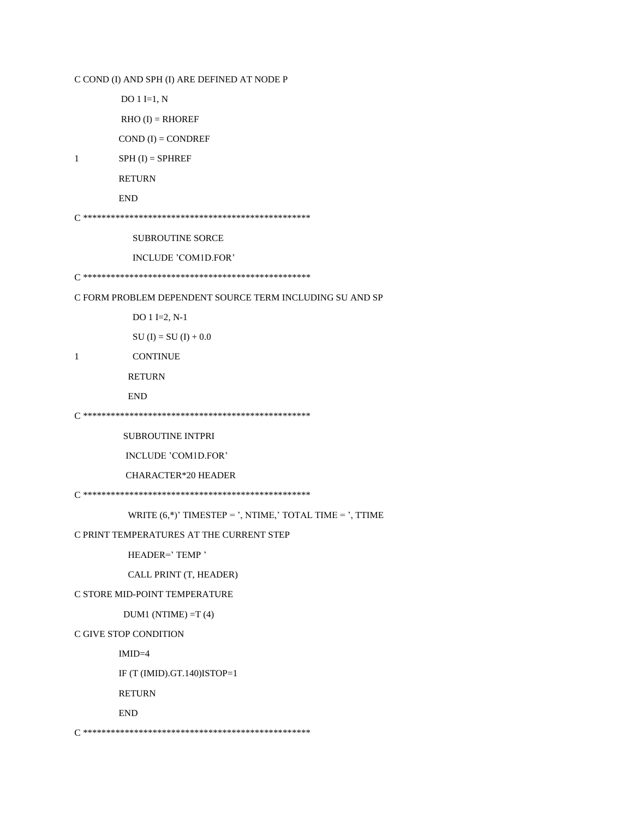C COND (I) AND SPH (I) ARE DEFINED AT NODE P

DO  $1 I=1, N$ 

 $RHO (I) = RHOREF$ 

 $COND (I) = CONDREF$ 

```
\mathbf{1}SPH (I) = SPHREF
```
**RETURN** 

 $\ensuremath{\mathrm{END}}$ 

**SUBROUTINE SORCE** 

INCLUDE 'COM1D.FOR'

C FORM PROBLEM DEPENDENT SOURCE TERM INCLUDING SU AND SP

DO 1 I=2, N-1

 $SU (I) = SU (I) + 0.0$ 

CONTINUE

 $\,1$ 

**RETURN** 

**END** 

**SUBROUTINE INTPRI** 

INCLUDE 'COM1D.FOR'

**CHARACTER\*20 HEADER** 

WRITE  $(6,*)'$  TIMESTEP = ', NTIME,' TOTAL TIME = ', TTIME

#### C PRINT TEMPERATURES AT THE CURRENT STEP

HEADER='TEMP'

CALL PRINT (T, HEADER)

C STORE MID-POINT TEMPERATURE

 $DUM1$  (NTIME) =T (4)

C GIVE STOP CONDITION

 $IMID=4$ 

IF (T (IMID).GT.140)ISTOP=1

**RETURN** 

**END**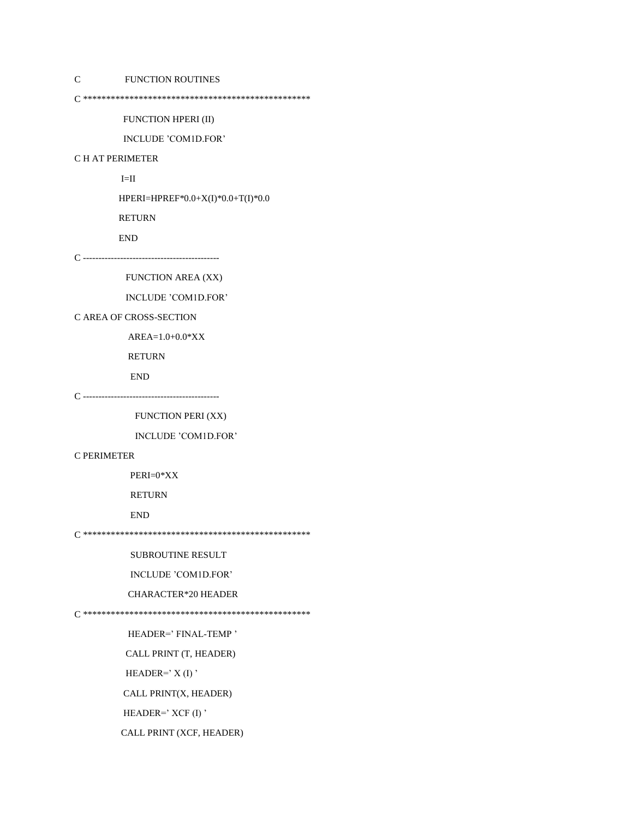C FUNCTION ROUTINES

C \*\*\*\*\*\*\*\*\*\*\*\*\*\*\*\*\*\*\*\*\*\*\*\*\*\*\*\*\*\*\*\*\*\*\*\*\*\*\*\*\*\*\*\*\*\*\*\*\*

FUNCTION HPERI (II)

INCLUDE 'COM1D.FOR'

#### C H AT PERIMETER

 $I=II$ 

HPERI=HPREF\*0.0+X(I)\*0.0+T(I)\*0.0

RETURN

END

C --------------------------------------------

FUNCTION AREA (XX)

INCLUDE 'COM1D.FOR'

#### C AREA OF CROSS-SECTION

AREA=1.0+0.0\*XX

RETURN

END

C --------------------------------------------

FUNCTION PERI (XX)

INCLUDE 'COM1D.FOR'

#### C PERIMETER

PERI=0\*XX

RETURN

END

C \*\*\*\*\*\*\*\*\*\*\*\*\*\*\*\*\*\*\*\*\*\*\*\*\*\*\*\*\*\*\*\*\*\*\*\*\*\*\*\*\*\*\*\*\*\*\*\*\*

SUBROUTINE RESULT

INCLUDE 'COM1D.FOR'

CHARACTER\*20 HEADER

C \*\*\*\*\*\*\*\*\*\*\*\*\*\*\*\*\*\*\*\*\*\*\*\*\*\*\*\*\*\*\*\*\*\*\*\*\*\*\*\*\*\*\*\*\*\*\*\*\*

HEADER=' FINAL-TEMP '

CALL PRINT (T, HEADER)

HEADER= $'$  X(I)'

CALL PRINT(X, HEADER)

HEADER=' XCF (I)'

CALL PRINT (XCF, HEADER)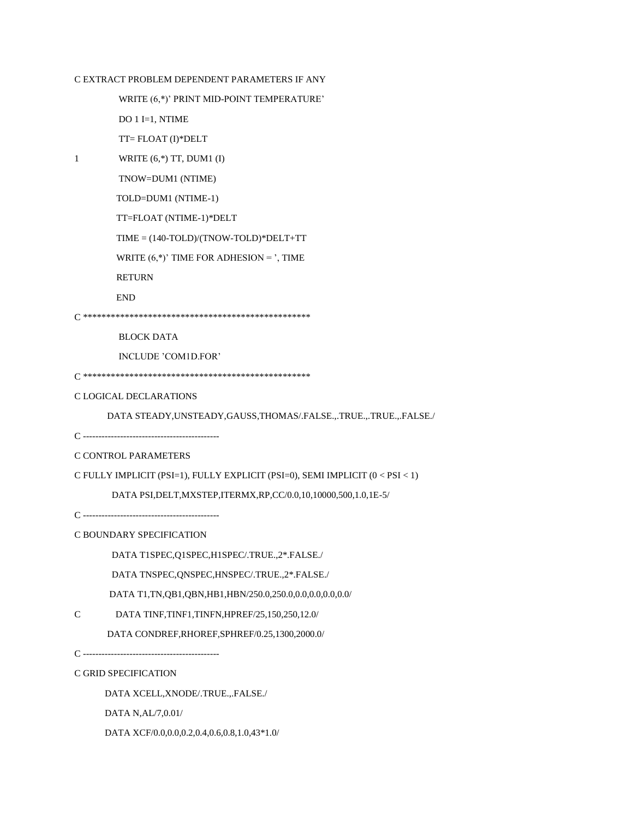### C EXTRACT PROBLEM DEPENDENT PARAMETERS IF ANY

WRITE (6,\*)' PRINT MID-POINT TEMPERATURE'

DO 1 I=1, NTIME

TT= FLOAT (I)\*DELT

1 WRITE (6,\*) TT, DUM1 (I)

TNOW=DUM1 (NTIME)

TOLD=DUM1 (NTIME-1)

TT=FLOAT (NTIME-1)\*DELT

TIME = (140-TOLD)/(TNOW-TOLD)\*DELT+TT

WRITE  $(6,*)'$  TIME FOR ADHESION = ', TIME

RETURN

END

C \*\*\*\*\*\*\*\*\*\*\*\*\*\*\*\*\*\*\*\*\*\*\*\*\*\*\*\*\*\*\*\*\*\*\*\*\*\*\*\*\*\*\*\*\*\*\*\*\*

BLOCK DATA

INCLUDE 'COM1D.FOR'

```
C *************************************************
```
C LOGICAL DECLARATIONS

DATA STEADY,UNSTEADY,GAUSS,THOMAS/.FALSE.,.TRUE.,.TRUE.,.FALSE./

C --------------------------------------------

C CONTROL PARAMETERS

C FULLY IMPLICIT (PSI=1), FULLY EXPLICIT (PSI=0), SEMI IMPLICIT (0 < PSI < 1)

DATA PSI,DELT,MXSTEP,ITERMX,RP,CC/0.0,10,10000,500,1.0,1E-5/

C --------------------------------------------

C BOUNDARY SPECIFICATION

DATA T1SPEC,Q1SPEC,H1SPEC/.TRUE.,2\*.FALSE./

DATA TNSPEC,QNSPEC,HNSPEC/.TRUE.,2\*.FALSE./

DATA T1,TN,QB1,QBN,HB1,HBN/250.0,250.0,0.0,0.0,0.0,0.0/

C DATA TINF,TINF1,TINFN,HPREF/25,150,250,12.0/

DATA CONDREF,RHOREF,SPHREF/0.25,1300,2000.0/

C --------------------------------------------

C GRID SPECIFICATION

DATA XCELL,XNODE/.TRUE.,.FALSE./

DATA N,AL/7,0.01/

DATA XCF/0.0,0.0,0.2,0.4,0.6,0.8,1.0,43\*1.0/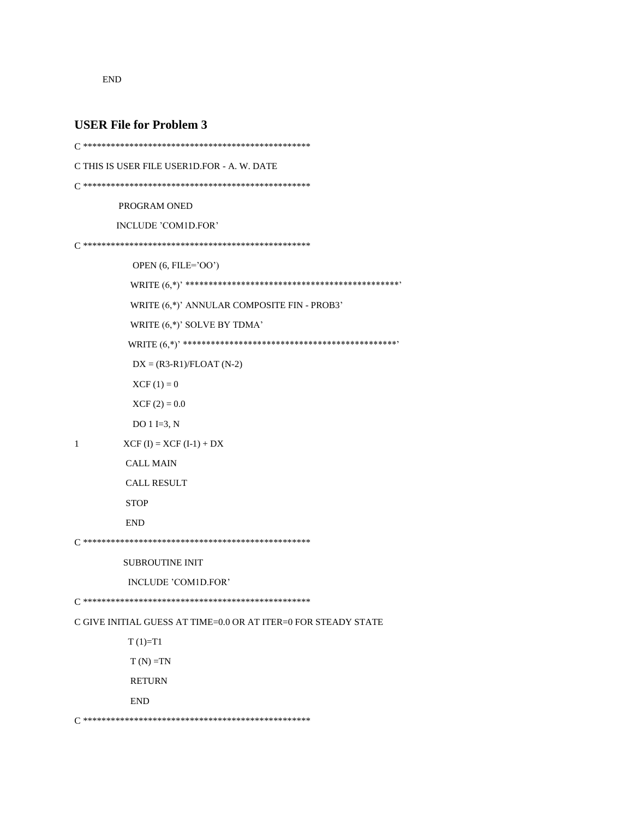${\rm END}$ 

### **USER File for Problem 3**

```
C THIS IS USER FILE USER1D.FOR - A. W. DATE
PROGRAM ONED
    INCLUDE 'COM1D.FOR'
OPEN (6, FILE='OO')
     WRITE (6,*)' ANNULAR COMPOSITE FIN - PROB3'
     WRITE (6,*)' SOLVE BY TDMA'
     DX = (R3-R1)/FLOAT (N-2)XCF(1) = 0XCF(2) = 0.0DO 1 I=3, N\,1XCF (I) = XCF (I-1) + DXCALL MAIN
     CALL RESULT
     STOP
     END
SUBROUTINE INIT
     INCLUDE 'COM1D.FOR'
C GIVE INITIAL GUESS AT TIME=0.0 OR AT ITER=0 FOR STEADY STATE
     T(1)=T1T(N) = TNRETURN
     {\rm END}
```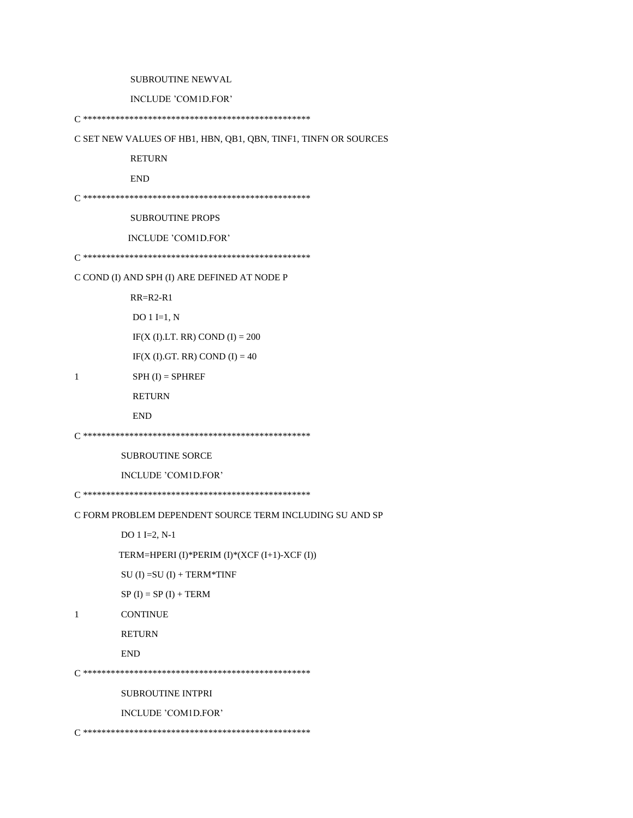SUBROUTINE NEWVAL

INCLUDE 'COM1D.FOR'

C SET NEW VALUES OF HB1, HBN, QB1, QBN, TINF1, TINFN OR SOURCES

**RETURN** 

**END** 

**SUBROUTINE PROPS** 

INCLUDE 'COM1D.FOR'

C COND (I) AND SPH (I) ARE DEFINED AT NODE P

 $RR=R2-R1$ 

DO  $1 I=1, N$ 

IF(X (I).LT. RR) COND (I) =  $200$ 

 $IF(X (I).GT. RR)$  COND  $(I) = 40$ 

 $1\,$  $SPH (I) = SPHREF$ 

RETURN

```
\ensuremath{\mathrm{END}}
```
SUBROUTINE SORCE

INCLUDE 'COM1D.FOR'

C FORM PROBLEM DEPENDENT SOURCE TERM INCLUDING SU AND SP

DO  $1$  I=2, N-1

TERM=HPERI (I)\*PERIM (I)\*(XCF (I+1)-XCF (I))

 $SU (I) = SU (I) + TERM*TIME$ 

 $SP (I) = SP (I) + TERM$ 

```
1\,CONTINUE
```
**RETURN** 

**END** 

SUBROUTINE INTPRI

INCLUDE 'COM1D.FOR'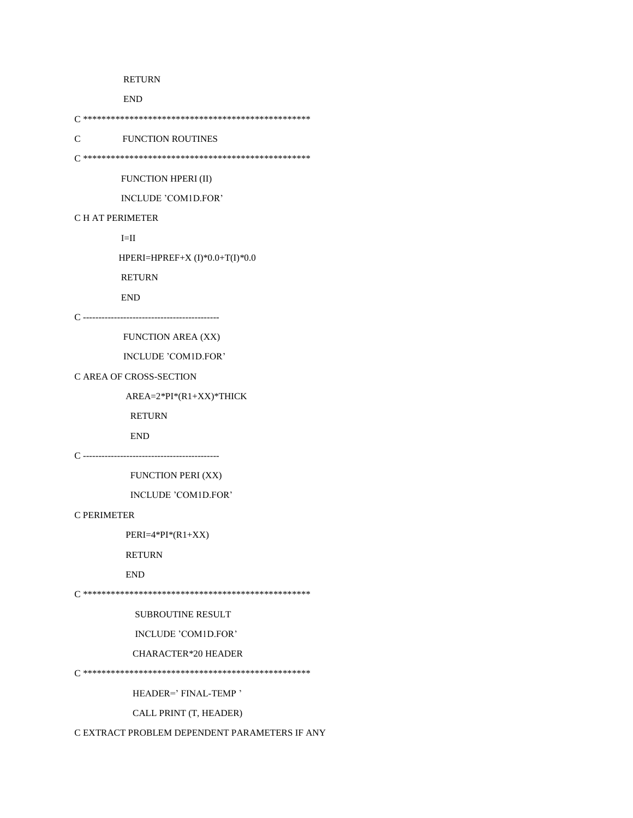#### RETURN

END

C \*\*\*\*\*\*\*\*\*\*\*\*\*\*\*\*\*\*\*\*\*\*\*\*\*\*\*\*\*\*\*\*\*\*\*\*\*\*\*\*\*\*\*\*\*\*\*\*\*

C FUNCTION ROUTINES

C \*\*\*\*\*\*\*\*\*\*\*\*\*\*\*\*\*\*\*\*\*\*\*\*\*\*\*\*\*\*\*\*\*\*\*\*\*\*\*\*\*\*\*\*\*\*\*\*\*

FUNCTION HPERI (II)

INCLUDE 'COM1D.FOR'

#### C H AT PERIMETER

 $\mbox{I=II}$ 

HPERI=HPREF+X (I)\*0.0+T(I)\*0.0

RETURN

END

C --------------------------------------------

FUNCTION AREA (XX)

INCLUDE 'COM1D.FOR'

#### C AREA OF CROSS-SECTION

AREA=2\*PI\*(R1+XX)\*THICK

RETURN

END

C --------------------------------------------

FUNCTION PERI (XX)

INCLUDE 'COM1D.FOR'

#### C PERIMETER

PERI=4\*PI\*(R1+XX)

RETURN

END

C \*\*\*\*\*\*\*\*\*\*\*\*\*\*\*\*\*\*\*\*\*\*\*\*\*\*\*\*\*\*\*\*\*\*\*\*\*\*\*\*\*\*\*\*\*\*\*\*\*

SUBROUTINE RESULT

INCLUDE 'COM1D.FOR'

#### CHARACTER\*20 HEADER

C \*\*\*\*\*\*\*\*\*\*\*\*\*\*\*\*\*\*\*\*\*\*\*\*\*\*\*\*\*\*\*\*\*\*\*\*\*\*\*\*\*\*\*\*\*\*\*\*\*

HEADER=' FINAL-TEMP '

CALL PRINT (T, HEADER)

C EXTRACT PROBLEM DEPENDENT PARAMETERS IF ANY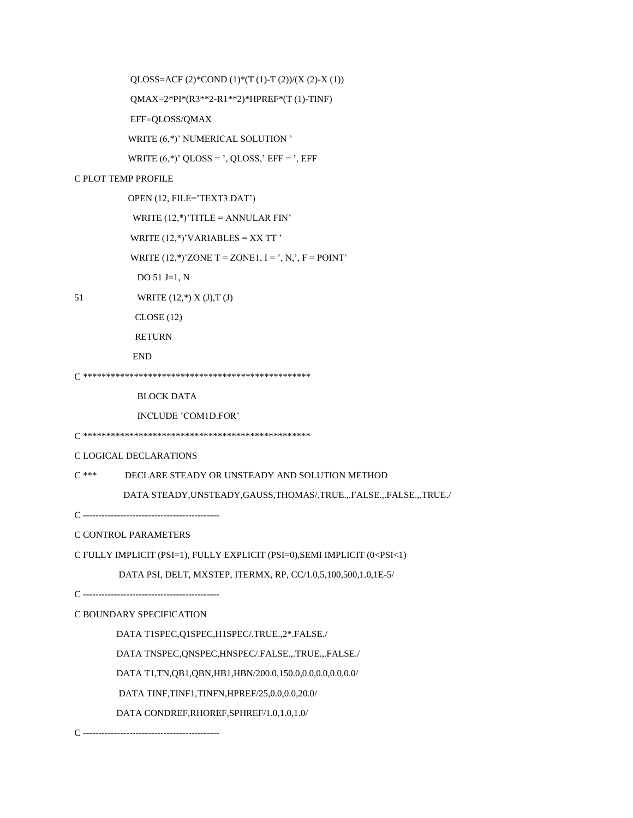QLOSS=ACF (2)\*COND (1)\*(T (1)-T (2))/(X (2)-X (1))

QMAX=2\*PI\*(R3\*\*2-R1\*\*2)\*HPREF\*(T(1)-TINF)

EFF=QLOSS/QMAX

WRITE (6,\*)' NUMERICAL SOLUTION '

WRITE  $(6,*)'$  QLOSS = ', QLOSS,' EFF = ', EFF

### C PLOT TEMP PROFILE

OPEN (12, FILE='TEXT3.DAT') WRITE  $(12,*)'$ TITLE = ANNULAR FIN' WRITE  $(12,^*)'VARIABLES = XXTT'$ WRITE  $(12,*)'$  ZONE T = ZONE1, I = ', N,', F = POINT' DO 51 J=1,  $N$ WRITE  $(12,*)$  X  $(J),T$   $(J)$ 

- 51
	- $CLOSE(12)$

**RETURN** 

**END** 

 $\operatorname{BLOCK}$  DATA

INCLUDE 'COM1D.FOR'

#### C LOGICAL DECLARATIONS

 $C$  \*\*\* DECLARE STEADY OR UNSTEADY AND SOLUTION METHOD

DATA STEADY, UNSTEADY, GAUSS, THOMAS/.TRUE., FALSE., FALSE., TRUE./

C CONTROL PARAMETERS

C FULLY IMPLICIT (PSI=1), FULLY EXPLICIT (PSI=0), SEMI IMPLICIT (0<PSI<1)

DATA PSI, DELT, MXSTEP, ITERMX, RP, CC/1.0,5,100,500,1.0,1E-5/

### C BOUNDARY SPECIFICATION

DATA T1SPEC, Q1SPEC, H1SPEC/.TRUE., 2\*. FALSE./

DATA TNSPEC, QNSPEC, HNSPEC/.FALSE.,.TRUE.,.FALSE./

DATA T1, TN, QB1, QBN, HB1, HBN/200.0, 150.0, 0.0, 0.0, 0.0, 0.0/

DATA TINF, TINF1, TINFN, HPREF/25, 0.0, 0.0, 20.0/

DATA CONDREF, RHOREF, SPHREF/1.0, 1.0, 1.0/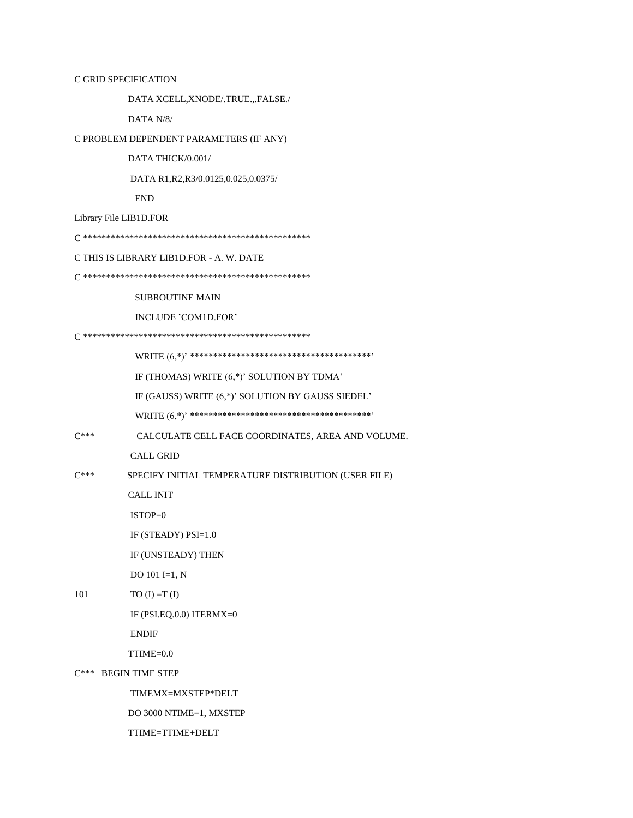C GRID SPECIFICATION

DATA XCELL,XNODE/.TRUE.,.FALSE./

DATA N/8/

C PROBLEM DEPENDENT PARAMETERS (IF ANY)

DATA THICK/0.001/

DATA R1,R2,R3/0.0125,0.025,0.0375/

END

Library File LIB1D.FOR

C \*\*\*\*\*\*\*\*\*\*\*\*\*\*\*\*\*\*\*\*\*\*\*\*\*\*\*\*\*\*\*\*\*\*\*\*\*\*\*\*\*\*\*\*\*\*\*\*\*

C THIS IS LIBRARY LIB1D.FOR - A. W. DATE

C \*\*\*\*\*\*\*\*\*\*\*\*\*\*\*\*\*\*\*\*\*\*\*\*\*\*\*\*\*\*\*\*\*\*\*\*\*\*\*\*\*\*\*\*\*\*\*\*\*

SUBROUTINE MAIN

INCLUDE 'COM1D.FOR'

C \*\*\*\*\*\*\*\*\*\*\*\*\*\*\*\*\*\*\*\*\*\*\*\*\*\*\*\*\*\*\*\*\*\*\*\*\*\*\*\*\*\*\*\*\*\*\*\*\*

 WRITE (6,\*)' \*\*\*\*\*\*\*\*\*\*\*\*\*\*\*\*\*\*\*\*\*\*\*\*\*\*\*\*\*\*\*\*\*\*\*\*\*\*\*' IF (THOMAS) WRITE (6,\*)' SOLUTION BY TDMA' IF (GAUSS) WRITE (6,\*)' SOLUTION BY GAUSS SIEDEL' WRITE (6,\*)' \*\*\*\*\*\*\*\*\*\*\*\*\*\*\*\*\*\*\*\*\*\*\*\*\*\*\*\*\*\*\*\*\*\*\*\*\*\*\*'

- C\*\*\* CALCULATE CELL FACE COORDINATES, AREA AND VOLUME. CALL GRID
- C\*\*\* SPECIFY INITIAL TEMPERATURE DISTRIBUTION (USER FILE)

CALL INIT

ISTOP=0

IF (STEADY) PSI=1.0

IF (UNSTEADY) THEN

DO 101 I=1, N

101 TO (I) = T (I)

IF (PSI.EQ.0.0) ITERMX=0

ENDIF

TTIME=0.0

C\*\*\* BEGIN TIME STEP

TIMEMX=MXSTEP\*DELT

DO 3000 NTIME=1, MXSTEP

TTIME=TTIME+DELT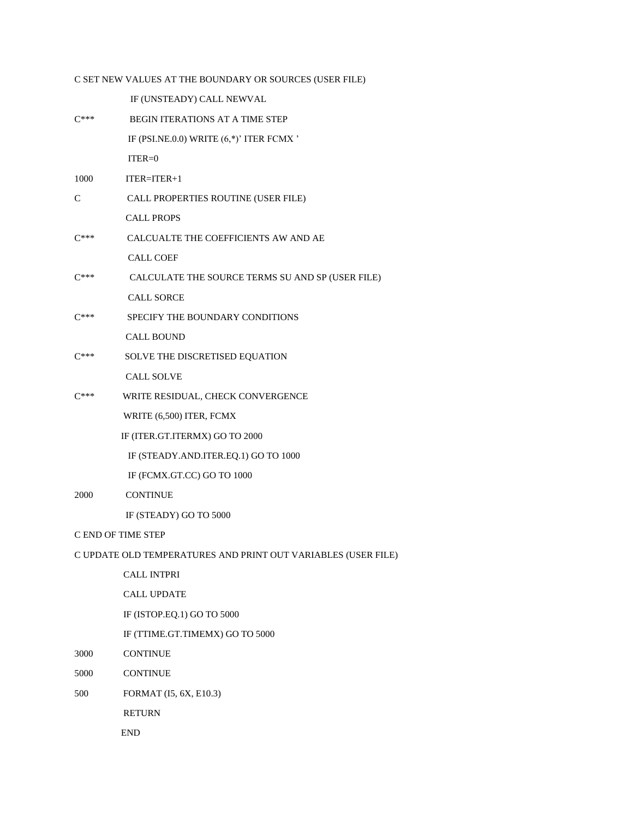### C SET NEW VALUES AT THE BOUNDARY OR SOURCES (USER FILE)

IF (UNSTEADY) CALL NEWVAL

| $C***$    | <b>BEGIN ITERATIONS AT A TIME STEP</b>           |
|-----------|--------------------------------------------------|
|           | IF (PSI.NE.0.0) WRITE $(6,*)'$ ITER FCMX '       |
|           | $ITER = 0$                                       |
| 1000      | $ITER = ITER + 1$                                |
| C         | CALL PROPERTIES ROUTINE (USER FILE)              |
|           | <b>CALL PROPS</b>                                |
| $C***$    | CALCUALTE THE COEFFICIENTS AW AND AE             |
|           | <b>CALL COEF</b>                                 |
| $C^{***}$ | CALCULATE THE SOURCE TERMS SU AND SP (USER FILE) |
|           | <b>CALL SORCE</b>                                |
| $C***$    | SPECIFY THE BOUNDARY CONDITIONS                  |
|           | <b>CALL BOUND</b>                                |
| $C***$    | SOLVE THE DISCRETISED EQUATION                   |
|           | <b>CALL SOLVE</b>                                |
| $C***$    | WRITE RESIDUAL, CHECK CONVERGENCE                |
|           | WRITE (6,500) ITER, FCMX                         |
|           | IF (ITER.GT.ITERMX) GO TO 2000                   |
|           | IF (STEADY.AND.ITER.EQ.1) GO TO 1000             |
|           | IF (FCMX.GT.CC) GO TO 1000                       |
| 2000      | <b>CONTINUE</b>                                  |
|           | IF (STEADY) GO TO 5000                           |
|           | C END OF TIME STEP                               |
|           |                                                  |

### C UPDATE OLD TEMPERATURES AND PRINT OUT VARIABLES (USER FILE)

 CALL INTPRI CALL UPDATE IF (ISTOP.EQ.1) GO TO 5000

IF (TTIME.GT.TIMEMX) GO TO 5000

- 3000 CONTINUE
- 5000 CONTINUE
- 500 FORMAT (I5, 6X, E10.3)

RETURN

END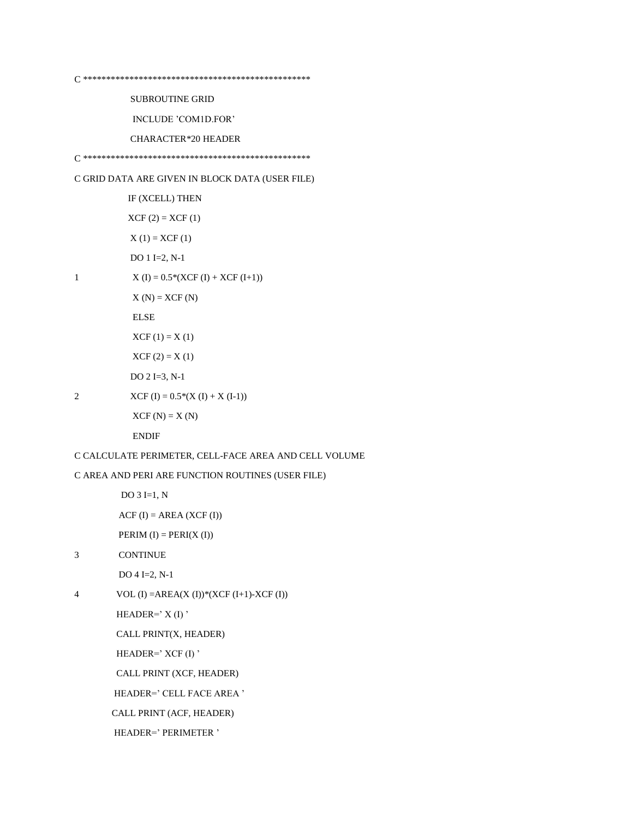**SUBROUTINE GRID** 

INCLUDE 'COM1D.FOR'

**CHARACTER\*20 HEADER** 

C GRID DATA ARE GIVEN IN BLOCK DATA (USER FILE)

IF (XCELL) THEN  $XCF(2) = XCF(1)$  $X(1) = XCF(1)$ DO 1 I=2,  $N-1$  $X (I) = 0.5*(XCF (I) + XCF (I+1))$  $X(N) = XCF(N)$ ELSE  $XCF(1) = X(1)$  $XCF(2) = X(1)$  $DO 2 I = 3, N-1$ 

 $XCF (I) = 0.5*(X (I) + X (I-1))$ 

 $\mathbf{1}$ 

2

 $XCF(N) = X(N)$ 

**ENDIF** 

C CALCULATE PERIMETER, CELL-FACE AREA AND CELL VOLUME

C AREA AND PERI ARE FUNCTION ROUTINES (USER FILE)

DO  $3 I=1, N$ 

 $ACF(I) = AREA(XCF(I))$ 

PERIM  $(I) = PERI(X(I))$ 

**CONTINUE**  $\overline{3}$ 

 $DO 4 I=2, N-1$ 

VOL (I) = AREA(X (I))\*(XCF (I+1)-XCF (I))  $\overline{4}$ 

HEADER= $'X(I)'$ 

CALL PRINT(X, HEADER)

HEADER=' XCF (I)'

CALL PRINT (XCF, HEADER)

HEADER=' CELL FACE AREA '

CALL PRINT (ACF, HEADER)

HEADER=' PERIMETER '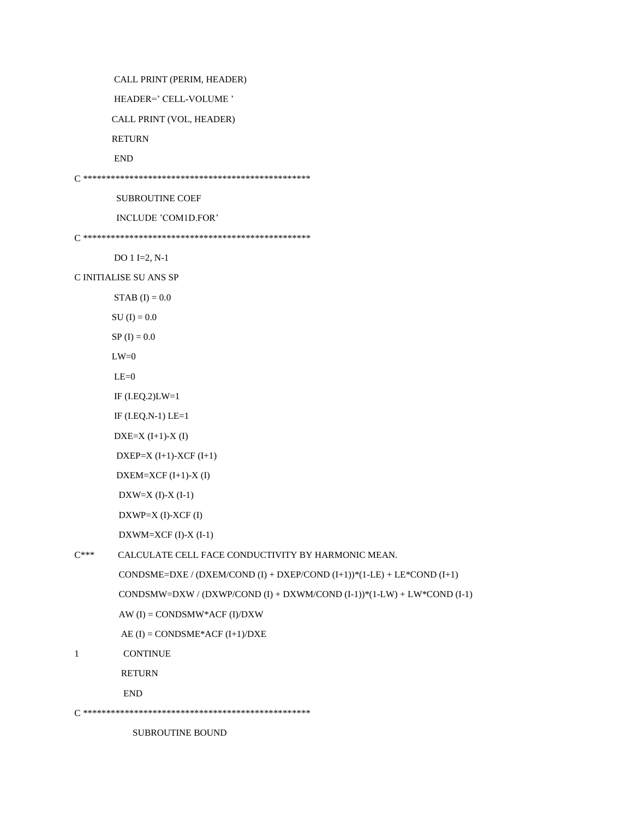CALL PRINT (PERIM, HEADER)

HEADER=' CELL-VOLUME '

CALL PRINT (VOL, HEADER)

RETURN

END

C \*\*\*\*\*\*\*\*\*\*\*\*\*\*\*\*\*\*\*\*\*\*\*\*\*\*\*\*\*\*\*\*\*\*\*\*\*\*\*\*\*\*\*\*\*\*\*\*\*

SUBROUTINE COEF

INCLUDE 'COM1D.FOR'

C \*\*\*\*\*\*\*\*\*\*\*\*\*\*\*\*\*\*\*\*\*\*\*\*\*\*\*\*\*\*\*\*\*\*\*\*\*\*\*\*\*\*\*\*\*\*\*\*\*

DO 1 I=2, N-1

C INITIALISE SU ANS SP

 $STAB$  (I) = 0.0

 ${\rm SU~(I)}=0.0$ 

 $SP (I) = 0.0$ 

 $LW=0$ 

 $LE=0$ 

```
 IF (I.EQ.2)LW=1
```
IF (I.EQ.N-1) LE=1

DXE=X (I+1)-X (I)

```
DXEP=X (I+1)-XCF (I+1)
```

```
 DXEM=XCF (I+1)-X (I)
```
DXW=X  $(I)$ -X $(I-1)$ 

DXWP=X (I)-XCF (I)

DXWM=XCF (I)-X (I-1)

```
C*** CALCULATE CELL FACE CONDUCTIVITY BY HARMONIC MEAN.
```
CONDSME=DXE / (DXEM/COND (I) + DXEP/COND (I+1))\*(1-LE) + LE\*COND (I+1)

CONDSMW=DXW / (DXWP/COND (I) + DXWM/COND (I-1))\*(1-LW) + LW\*COND (I-1)

AW (I) = CONDSMW\*ACF (I)/DXW

```
AE (I) = CONDSME*ACF (I+1)/DXE
```
1 CONTINUE

RETURN

END

C \*\*\*\*\*\*\*\*\*\*\*\*\*\*\*\*\*\*\*\*\*\*\*\*\*\*\*\*\*\*\*\*\*\*\*\*\*\*\*\*\*\*\*\*\*\*\*\*\*

SUBROUTINE BOUND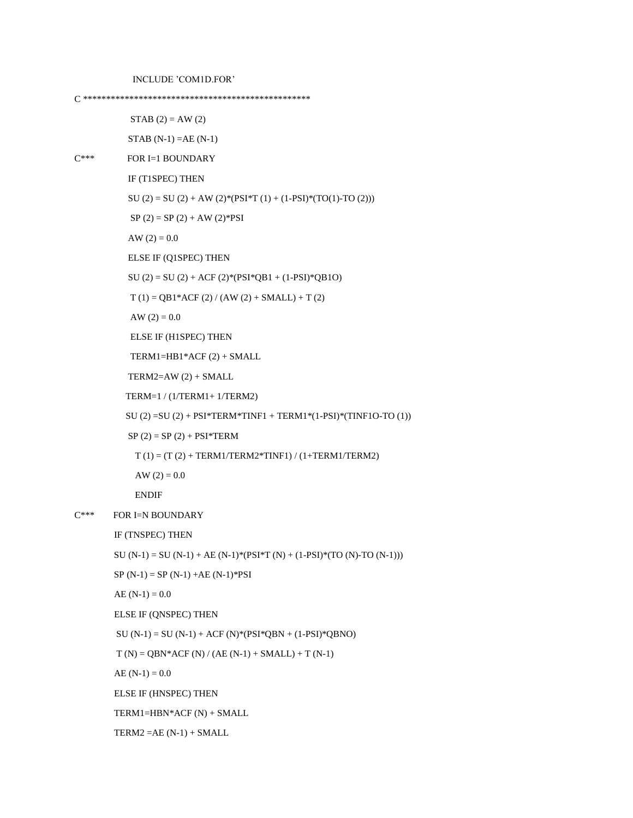C \*\*\*\*\*\*\*\*\*\*\*\*\*\*\*\*\*\*\*\*\*\*\*\*\*\*\*\*\*\*\*\*\*\*\*\*\*\*\*\*\*\*\*\*\*\*\*\*\*

 $STAB (2) = AW (2)$ 

 $STAB (N-1) = AE (N-1)$ 

```
C*** FOR I=1 BOUNDARY
```
IF (T1SPEC) THEN

SU (2) = SU (2) + AW (2)\*(PSI\*T (1) + (1-PSI)\*(TO(1)-TO (2)))

 $SP(2) = SP(2) + AW(2)*PSI$ 

AW  $(2) = 0.0$ 

ELSE IF (Q1SPEC) THEN

 $SU (2) = SU (2) + ACF (2) * (PSI * QB1 + (1-PSI) * QB1O)$ 

 $T(1) = QB1*ACF(2) / (AW(2) + SMALL) + T(2)$ 

AW  $(2) = 0.0$ 

ELSE IF (H1SPEC) THEN

TERM1=HB1\*ACF (2) + SMALL

TERM2= $AW(2) + SMALL$ 

TERM=1 / (1/TERM1+ 1/TERM2)

SU (2) = SU (2) + PSI\*TERM\*TINF1 + TERM1\*(1-PSI)\*(TINF1O-TO (1))

 $SP(2) = SP(2) + PSI*TERM$ 

 $T(1) = (T(2) + TERM1/TERM2*TINGT1) / (1+TERM1/TERM2)$ 

AW  $(2) = 0.0$ 

ENDIF

C\*\*\* FOR I=N BOUNDARY

IF (TNSPEC) THEN

SU (N-1) = SU (N-1) + AE (N-1)\*(PSI\*T (N) + (1-PSI)\*(TO (N)-TO (N-1)))

 $SP(N-1) = SP(N-1) + AE(N-1)*PSI$ 

 $AE (N-1) = 0.0$ 

ELSE IF (QNSPEC) THEN

 $SU(N-1) = SU(N-1) + ACF (N)*(PSI*QBN + (1-PSI)*QBNO)$ 

 $T(N) = QBN*ACF(N) / (AE(N-1) + SMALL) + T(N-1)$ 

AE  $(N-1) = 0.0$ 

ELSE IF (HNSPEC) THEN

TERM1=HBN\*ACF (N) + SMALL

 $TERM2 = AE (N-1) + SMALL$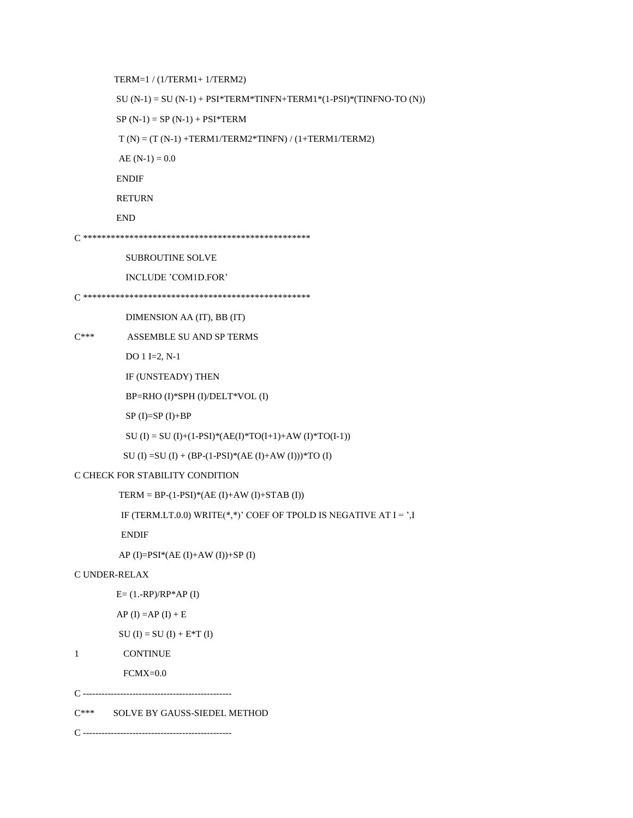C\*\*\* SOLVE BY GAUSS-SIEDEL METHOD

```
C ------------------------------------------------
```
 $E = (1.-RP)/RP*AP (I)$ 

SU (I) = SU (I) + E\*T (I)

AP (I) = AP (I) + E

FCMX=0.0

```
SU (I) = SU (I) + (BP-(1-PSI)*(AE (I)+AW (I)))*TO (I)
```
AP (I)= $PSI^*(AE (I)+AW (I))+SP (I)$ 

C CHECK FOR STABILITY CONDITION

ENDIF

C UNDER-RELAX

1 CONTINUE

TERM = BP- $(1-PSI)*(AE (I)+AW (I)+STAB (I))$ 

SU (I) = SU (I)+(1-PSI)\*(AE(I)\*TO(I+1)+AW (I)\*TO(I-1))

IF (TERM.LT.0.0) WRITE $(*,*)$ ' COEF OF TPOLD IS NEGATIVE AT  $I = '$ , I

 $SP (I)=SP (I)+BP$ 

BP=RHO (I)\*SPH (I)/DELT\*VOL (I)

IF (UNSTEADY) THEN

DO 1 I=2, N-1

C\*\*\* ASSEMBLE SU AND SP TERMS

DIMENSION AA (IT), BB (IT)

```
C *************************************************
```
INCLUDE 'COM1D.FOR'

SUBROUTINE SOLVE

```
C *************************************************
```

```
 END
```
RETURN

ENDIF

AE  $(N-1) = 0.0$ 

 $T(N) = (T(N-1) + TERM1/TERM2*TINFN) / (1 + TERM1/TERM2)$ 

 $SP(N-1) = SP(N-1) + PSI*TERM$ 

SU  $(N-1) = SU(N-1) + PSI*TERM*TINFN+TERM1*(1-PSI)*(TINFNO-TO (N))$ 

TERM=1 / (1/TERM1+ 1/TERM2)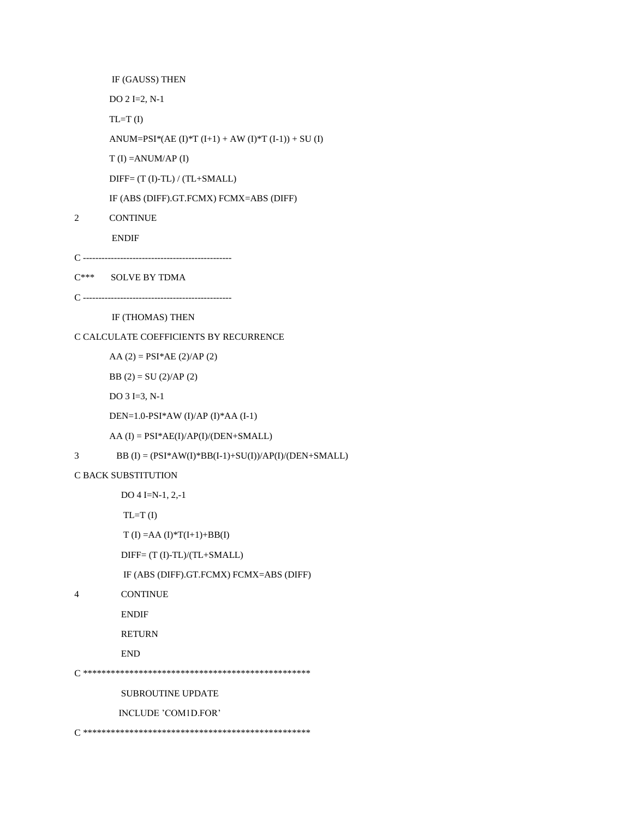IF (GAUSS) THEN

DO 2 I=2, N-1

 $TL=T (I)$ 

ANUM=PSI\*(AE (I)\*T (I+1) + AW (I)\*T (I-1)) + SU (I)

T (I) =ANUM/AP (I)

DIFF= (T (I)-TL) / (TL+SMALL)

IF (ABS (DIFF).GT.FCMX) FCMX=ABS (DIFF)

2 CONTINUE

ENDIF

- C ------------------------------------------------
- C\*\*\* SOLVE BY TDMA

```
C ----------------
```
IF (THOMAS) THEN

C CALCULATE COEFFICIENTS BY RECURRENCE

 $AA (2) = PSI*AE (2)/AP (2)$ 

BB  $(2) = SU(2)/AP(2)$ 

DO 3 I=3, N-1

DEN=1.0-PSI\*AW (I)/AP (I)\*AA (I-1)

AA (I) = PSI\*AE(I)/AP(I)/(DEN+SMALL)

3 BB (I) =  $(PSI*AW(I)*BB(I-1)+SU(I))/AP(I)/(DEN+SMALL)$ 

C BACK SUBSTITUTION

DO 4 I=N-1, 2,-1

 $TL=T(I)$ 

 $T (I) = AA (I) * T (I + 1) + BB (I)$ 

DIFF= (T (I)-TL)/(TL+SMALL)

IF (ABS (DIFF).GT.FCMX) FCMX=ABS (DIFF)

4 CONTINUE

ENDIF

RETURN

END

C \*\*\*\*\*\*\*\*\*\*\*\*\*\*\*\*\*\*\*\*\*\*\*\*\*\*\*\*\*\*\*\*\*\*\*\*\*\*\*\*\*\*\*\*\*\*\*\*\*

SUBROUTINE UPDATE

INCLUDE 'COM1D.FOR'

C \*\*\*\*\*\*\*\*\*\*\*\*\*\*\*\*\*\*\*\*\*\*\*\*\*\*\*\*\*\*\*\*\*\*\*\*\*\*\*\*\*\*\*\*\*\*\*\*\*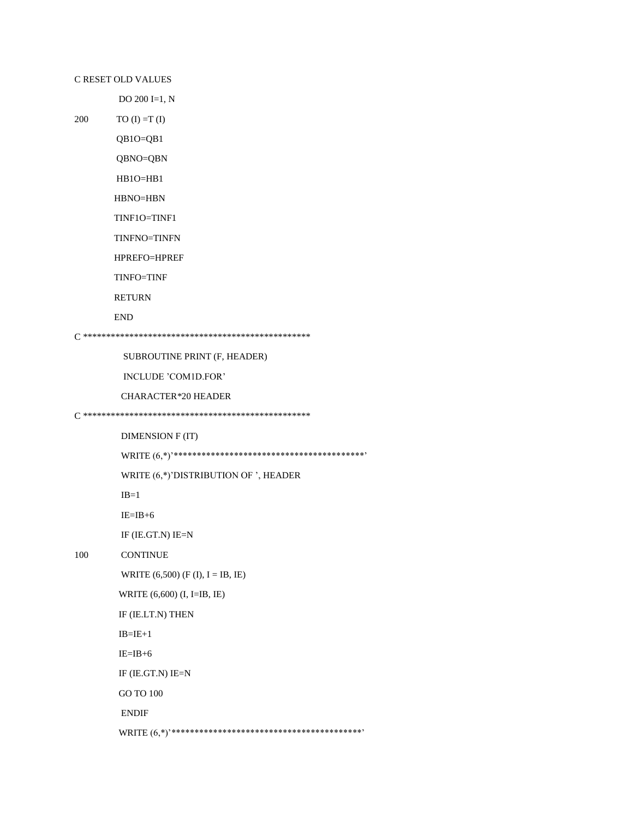#### C RESET OLD VALUES

 $200\,$ 

DO 200 I=1, N

 $TO (I) = T (I)$ 

 $QB1O=QB1$ 

QBNO=QBN

HB1O=HB1

 $H BNO=HBN$ 

TINF10=TINF1

TINFNO=TINFN

HPREFO=HPREF

TINFO=TINF

**RETURN** 

```
\ensuremath{\mathrm{END}}
```
SUBROUTINE PRINT (F, HEADER)

INCLUDE 'COM1D.FOR'

CHARACTER\*20 HEADER

DIMENSION F (IT)

WRITE (6,\*)'DISTRIBUTION OF ', HEADER

 $IB=1$ 

 $IE=IB+6$ 

IF (IE.GT.N) IE=N

100 **CONTINUE** 

WRITE  $(6,500)$  (F (I), I = IB, IE)

WRITE (6,600) (I, I=IB, IE)

IF (IE.LT.N) THEN

 $IB=IE+1$ 

 $IE = IB + 6$ 

IF  $(IE.GT.N)$   $IE=N$ 

GO TO 100

 $\ensuremath{\mathrm{ENDIF}}$